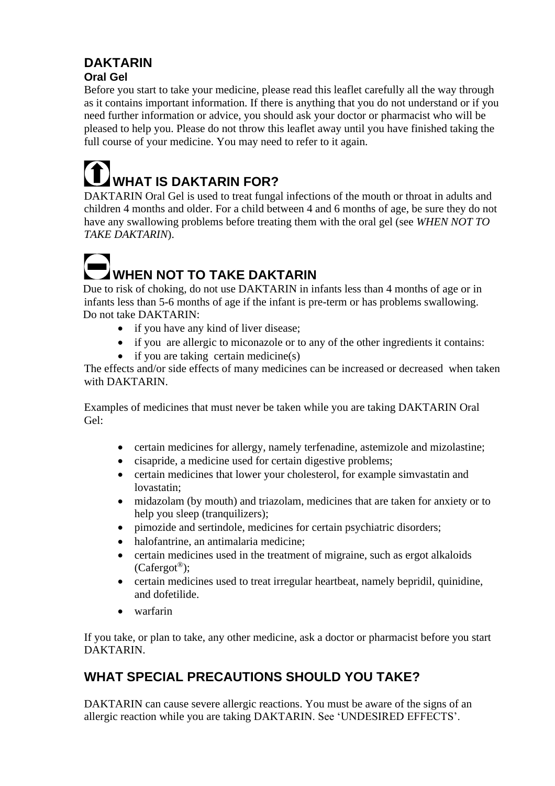# **DAKTARIN Oral Gel**

Before you start to take your medicine, please read this leaflet carefully all the way through as it contains important information. If there is anything that you do not understand or if you need further information or advice, you should ask your doctor or pharmacist who will be pleased to help you. Please do not throw this leaflet away until you have finished taking the full course of your medicine. You may need to refer to it again.

# **WHAT IS DAKTARIN FOR?**

DAKTARIN Oral Gel is used to treat fungal infections of the mouth or throat in adults and children 4 months and older. For a child between 4 and 6 months of age, be sure they do not have any swallowing problems before treating them with the oral gel (see *WHEN NOT TO TAKE DAKTARIN*).

# **The Contract of Second WHEN NOT TO TAKE DAKTARIN**

Due to risk of choking, do not use DAKTARIN in infants less than 4 months of age or in infants less than 5-6 months of age if the infant is pre-term or has problems swallowing. Do not take DAKTARIN:

- if you have any kind of liver disease;
- if you are allergic to miconazole or to any of the other ingredients it contains:
- if you are taking certain medicine(s)

The effects and/or side effects of many medicines can be increased or decreased when taken with DAKTARIN.

Examples of medicines that must never be taken while you are taking DAKTARIN Oral Gel:

- certain medicines for allergy, namely terfenadine, astemizole and mizolastine;
- cisapride, a medicine used for certain digestive problems;
- certain medicines that lower your cholesterol, for example simvastatin and lovastatin;
- midazolam (by mouth) and triazolam, medicines that are taken for anxiety or to help you sleep (tranquilizers);
- pimozide and sertindole, medicines for certain psychiatric disorders;
- halofantrine, an antimalaria medicine;
- certain medicines used in the treatment of migraine, such as ergot alkaloids (Cafergot®);
- certain medicines used to treat irregular heartbeat, namely bepridil, quinidine, and dofetilide.
- warfarin

If you take, or plan to take, any other medicine, ask a doctor or pharmacist before you start DAKTARIN.

# **WHAT SPECIAL PRECAUTIONS SHOULD YOU TAKE?**

DAKTARIN can cause severe allergic reactions. You must be aware of the signs of an allergic reaction while you are taking DAKTARIN. See 'UNDESIRED EFFECTS'.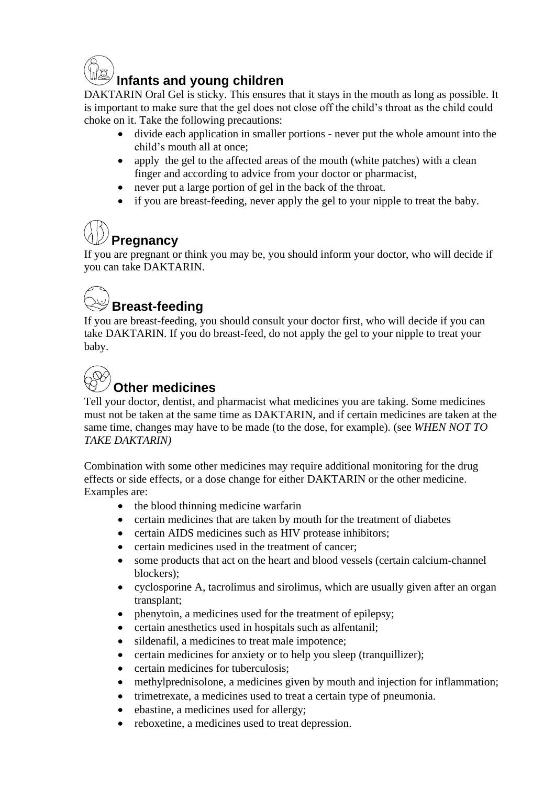

DAKTARIN Oral Gel is sticky. This ensures that it stays in the mouth as long as possible. It is important to make sure that the gel does not close off the child's throat as the child could choke on it. Take the following precautions:

- divide each application in smaller portions never put the whole amount into the child's mouth all at once;
- apply the gel to the affected areas of the mouth (white patches) with a clean finger and according to advice from your doctor or pharmacist,
- never put a large portion of gel in the back of the throat.
- if you are breast-feeding, never apply the gel to your nipple to treat the baby.

# **Pregnancy**

If you are pregnant or think you may be, you should inform your doctor, who will decide if you can take DAKTARIN.

# **Breast-feeding**

If you are breast-feeding, you should consult your doctor first, who will decide if you can take DAKTARIN. If you do breast-feed, do not apply the gel to your nipple to treat your baby.

# **Other medicines**

Tell your doctor, dentist, and pharmacist what medicines you are taking. Some medicines must not be taken at the same time as DAKTARIN, and if certain medicines are taken at the same time, changes may have to be made (to the dose, for example). (see *WHEN NOT TO TAKE DAKTARIN)*

Combination with some other medicines may require additional monitoring for the drug effects or side effects, or a dose change for either DAKTARIN or the other medicine. Examples are:

- the blood thinning medicine warfarin
- certain medicines that are taken by mouth for the treatment of diabetes
- certain AIDS medicines such as HIV protease inhibitors;
- certain medicines used in the treatment of cancer;
- some products that act on the heart and blood vessels (certain calcium-channel blockers);
- cyclosporine A, tacrolimus and sirolimus, which are usually given after an organ transplant;
- phenytoin, a medicines used for the treatment of epilepsy;
- certain anesthetics used in hospitals such as alfentanil;
- sildenafil, a medicines to treat male impotence;
- certain medicines for anxiety or to help you sleep (tranquillizer);
- certain medicines for tuberculosis;
- methylprednisolone, a medicines given by mouth and injection for inflammation;
- trimetrexate, a medicines used to treat a certain type of pneumonia.
- ebastine, a medicines used for allergy;
- reboxetine, a medicines used to treat depression.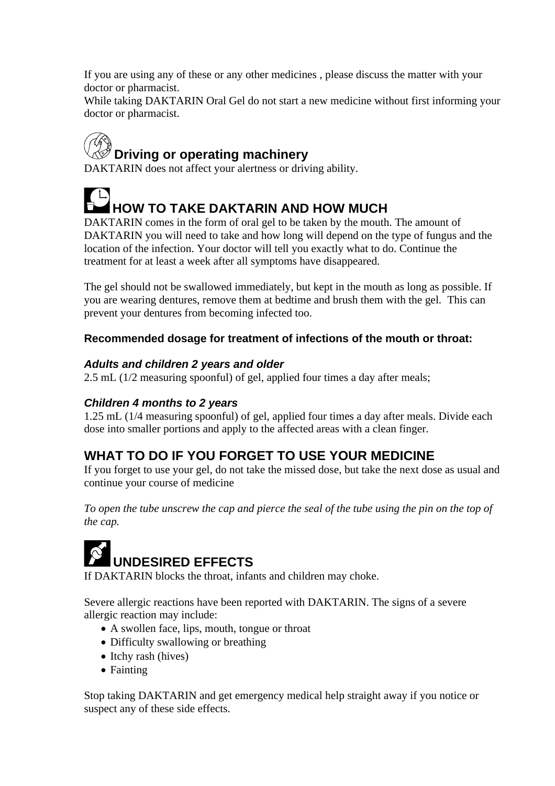If you are using any of these or any other medicines , please discuss the matter with your doctor or pharmacist.

While taking DAKTARIN Oral Gel do not start a new medicine without first informing your doctor or pharmacist.

# **Driving or operating machinery**

DAKTARIN does not affect your alertness or driving ability.

**HOW TO TAKE DAKTARIN AND HOW MUCH** 

DAKTARIN comes in the form of oral gel to be taken by the mouth. The amount of DAKTARIN you will need to take and how long will depend on the type of fungus and the location of the infection. Your doctor will tell you exactly what to do. Continue the treatment for at least a week after all symptoms have disappeared.

The gel should not be swallowed immediately, but kept in the mouth as long as possible. If you are wearing dentures, remove them at bedtime and brush them with the gel. This can prevent your dentures from becoming infected too.

## **Recommended dosage for treatment of infections of the mouth or throat:**

### *Adults and children 2 years and older*

2.5 mL (1/2 measuring spoonful) of gel, applied four times a day after meals;

### *Children 4 months to 2 years*

1.25 mL (1/4 measuring spoonful) of gel, applied four times a day after meals. Divide each dose into smaller portions and apply to the affected areas with a clean finger.

# **WHAT TO DO IF YOU FORGET TO USE YOUR MEDICINE**

If you forget to use your gel, do not take the missed dose, but take the next dose as usual and continue your course of medicine

*To open the tube unscrew the cap and pierce the seal of the tube using the pin on the top of the cap.*

# **UNDESIRED EFFECTS**

If DAKTARIN blocks the throat, infants and children may choke.

Severe allergic reactions have been reported with DAKTARIN. The signs of a severe allergic reaction may include:

- A swollen face, lips, mouth, tongue or throat
- Difficulty swallowing or breathing
- Itchy rash (hives)
- Fainting

Stop taking DAKTARIN and get emergency medical help straight away if you notice or suspect any of these side effects.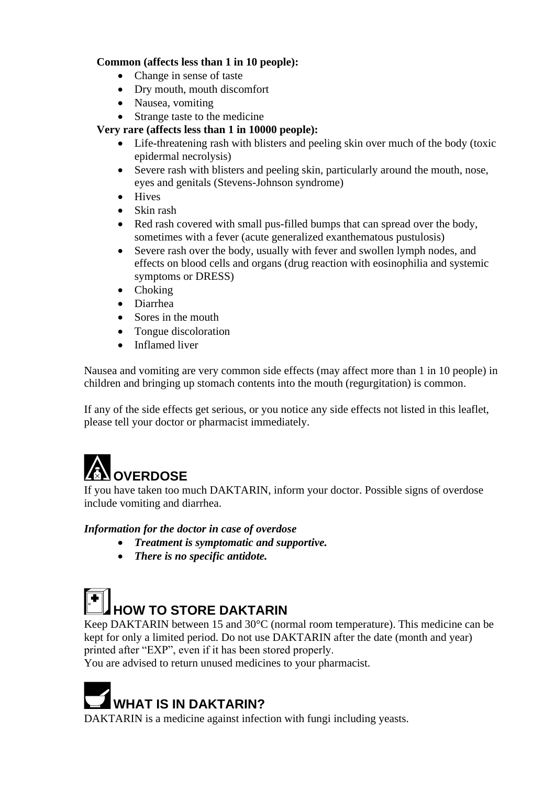#### **Common (affects less than 1 in 10 people):**

- Change in sense of taste
- Dry mouth, mouth discomfort
- Nausea, vomiting
- Strange taste to the medicine

#### **Very rare (affects less than 1 in 10000 people):**

- Life-threatening rash with blisters and peeling skin over much of the body (toxic epidermal necrolysis)
- Severe rash with blisters and peeling skin, particularly around the mouth, nose, eyes and genitals (Stevens-Johnson syndrome)
- Hives
- Skin rash
- Red rash covered with small pus-filled bumps that can spread over the body, sometimes with a fever (acute generalized exanthematous pustulosis)
- Severe rash over the body, usually with fever and swollen lymph nodes, and effects on blood cells and organs (drug reaction with eosinophilia and systemic symptoms or DRESS)
- Choking
- Diarrhea
- Sores in the mouth
- Tongue discoloration
- Inflamed liver

Nausea and vomiting are very common side effects (may affect more than 1 in 10 people) in children and bringing up stomach contents into the mouth (regurgitation) is common.

If any of the side effects get serious, or you notice any side effects not listed in this leaflet, please tell your doctor or pharmacist immediately.

# **NOVERDOSE**

If you have taken too much DAKTARIN, inform your doctor. Possible signs of overdose include vomiting and diarrhea.

#### *Information for the doctor in case of overdose*

- *Treatment is symptomatic and supportive.*
- *There is no specific antidote.*



Keep DAKTARIN between 15 and 30°C (normal room temperature). This medicine can be kept for only a limited period. Do not use DAKTARIN after the date (month and year) printed after "EXP", even if it has been stored properly.

You are advised to return unused medicines to your pharmacist.



DAKTARIN is a medicine against infection with fungi including yeasts.